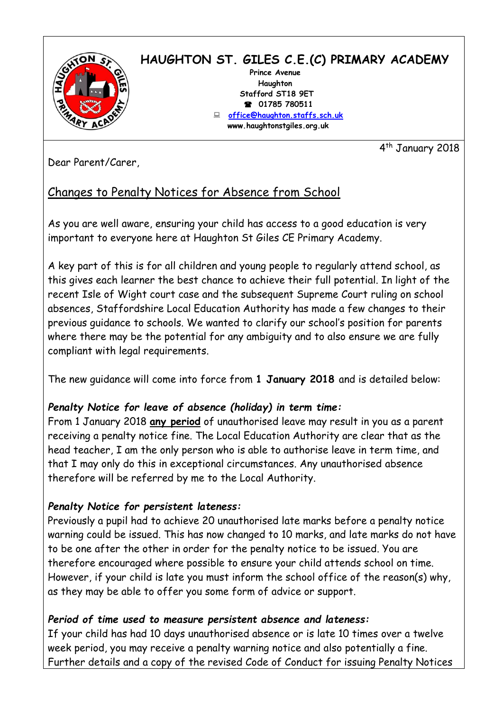

# **HAUGHTON ST. GILES C.E.(C) PRIMARY ACADEMY**

 **Prince Avenue Haughton Stafford ST18 9ET 01785 780511 [office@haughton.staffs.sch.uk](mailto:office@haughton.staffs.sch.uk) www.haughtonstgiles.org.uk**

4 th January 2018

Dear Parent/Carer,

## Changes to Penalty Notices for Absence from School

As you are well aware, ensuring your child has access to a good education is very important to everyone here at Haughton St Giles CE Primary Academy.

A key part of this is for all children and young people to regularly attend school, as this gives each learner the best chance to achieve their full potential. In light of the recent Isle of Wight court case and the subsequent Supreme Court ruling on school absences, Staffordshire Local Education Authority has made a few changes to their previous guidance to schools. We wanted to clarify our school's position for parents where there may be the potential for any ambiguity and to also ensure we are fully compliant with legal requirements.

The new guidance will come into force from **1 January 2018** and is detailed below:

## *Penalty Notice for leave of absence (holiday) in term time:*

From 1 January 2018 **any period** of unauthorised leave may result in you as a parent receiving a penalty notice fine. The Local Education Authority are clear that as the head teacher, I am the only person who is able to authorise leave in term time, and that I may only do this in exceptional circumstances. Any unauthorised absence therefore will be referred by me to the Local Authority.

### *Penalty Notice for persistent lateness:*

Previously a pupil had to achieve 20 unauthorised late marks before a penalty notice warning could be issued. This has now changed to 10 marks, and late marks do not have to be one after the other in order for the penalty notice to be issued. You are therefore encouraged where possible to ensure your child attends school on time. However, if your child is late you must inform the school office of the reason(s) why, as they may be able to offer you some form of advice or support.

### *Period of time used to measure persistent absence and lateness:*

If your child has had 10 days unauthorised absence or is late 10 times over a twelve week period, you may receive a penalty warning notice and also potentially a fine. Further details and a copy of the revised Code of Conduct for issuing Penalty Notices